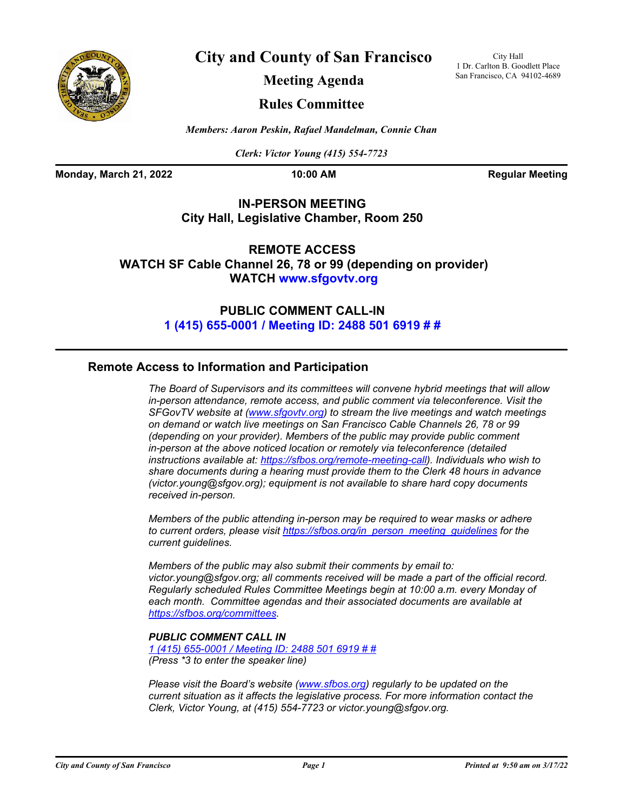

**City and County of San Francisco**

City Hall 1 Dr. Carlton B. Goodlett Place San Francisco, CA 94102-4689

**Meeting Agenda**

## **Rules Committee**

*Members: Aaron Peskin, Rafael Mandelman, Connie Chan*

*Clerk: Victor Young (415) 554-7723*

**Monday, March 21, 2022 10:00 AM Regular Meeting** 

## **IN-PERSON MEETING City Hall, Legislative Chamber, Room 250**

**REMOTE ACCESS WATCH SF Cable Channel 26, 78 or 99 (depending on provider) WATCH<www.sfgovtv.org>**

> **PUBLIC COMMENT CALL-IN [1 \(415\) 655-0001 / Meeting ID: 2488 501 6919 # #](tel:+14156550001,,24885016919#,,#)**

## **Remote Access to Information and Participation**

*The Board of Supervisors and its committees will convene hybrid meetings that will allow in-person attendance, remote access, and public comment via teleconference. Visit the SFGovTV website at [\(www.sfgovtv.org\)](ww.sfgovtv.org) to stream the live meetings and watch meetings on demand or watch live meetings on San Francisco Cable Channels 26, 78 or 99 (depending on your provider). Members of the public may provide public comment in-person at the above noticed location or remotely via teleconference (detailed instructions available at: [https://sfbos.org/remote-meeting-call\).](https://sfbos.org/remote-meeting-call) Individuals who wish to share documents during a hearing must provide them to the Clerk 48 hours in advance (victor.young@sfgov.org); equipment is not available to share hard copy documents received in-person.*

*Members of the public attending in-person may be required to wear masks or adhere to current orders, please visi[t https://sfbos.org/in\\_person\\_meeting\\_guidelines f](https://sfbos.org/in_person_meeting_guidelines)or the current guidelines.*

*Members of the public may also submit their comments by email to: victor.young@sfgov.org; all comments received will be made a part of the official record. Regularly scheduled Rules Committee Meetings begin at 10:00 a.m. every Monday of each month. Committee agendas and their associated documents are available at [https://sfbos.org/committees.](https://sfbos.org/committees)*

## *PUBLIC COMMENT CALL IN*

*[1 \(415\) 655-0001 / Meeting ID: 2488 501 6919 # #](tel:+14156550001,,24885016919#,,#) (Press \*3 to enter the speaker line)*

*Please visit the Board's website [\(www.sfbos.org\) r](www.sfbos.org)egularly to be updated on the current situation as it affects the legislative process. For more information contact the Clerk, Victor Young, at (415) 554-7723 or victor.young@sfgov.org.*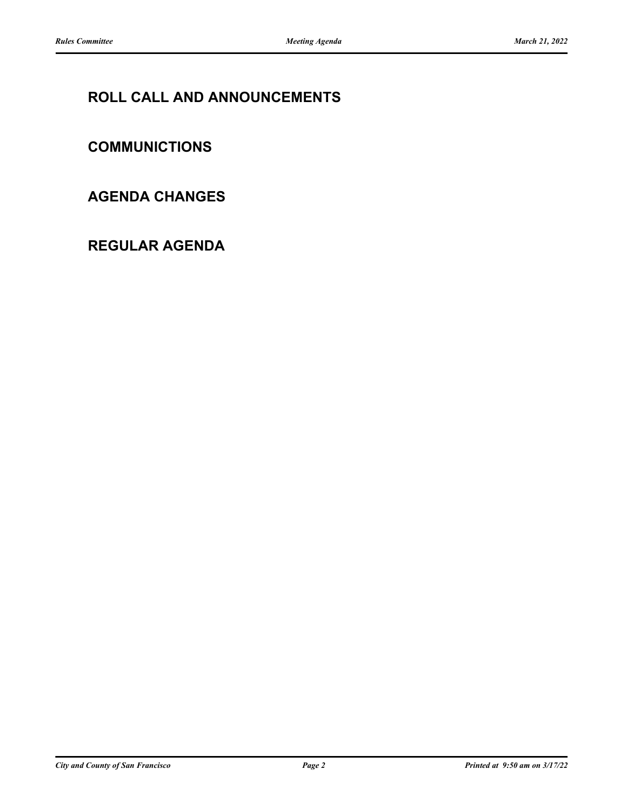# **ROLL CALL AND ANNOUNCEMENTS**

# **COMMUNICTIONS**

## **AGENDA CHANGES**

# **REGULAR AGENDA**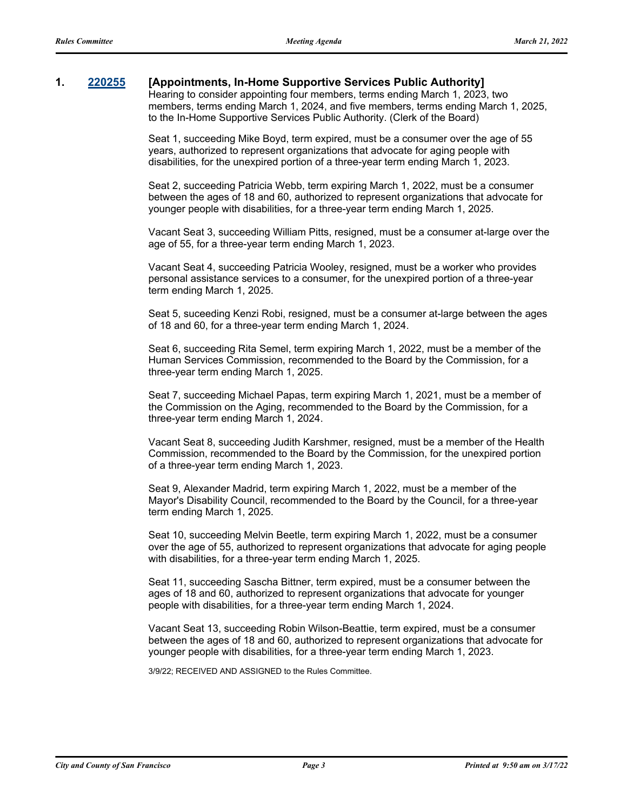### **1. [220255](http://sfgov.legistar.com/gateway.aspx?m=l&id=38447) [Appointments, In-Home Supportive Services Public Authority]**

Hearing to consider appointing four members, terms ending March 1, 2023, two members, terms ending March 1, 2024, and five members, terms ending March 1, 2025, to the In-Home Supportive Services Public Authority. (Clerk of the Board)

Seat 1, succeeding Mike Boyd, term expired, must be a consumer over the age of 55 years, authorized to represent organizations that advocate for aging people with disabilities, for the unexpired portion of a three-year term ending March 1, 2023.

Seat 2, succeeding Patricia Webb, term expiring March 1, 2022, must be a consumer between the ages of 18 and 60, authorized to represent organizations that advocate for younger people with disabilities, for a three-year term ending March 1, 2025.

Vacant Seat 3, succeeding William Pitts, resigned, must be a consumer at-large over the age of 55, for a three-year term ending March 1, 2023.

Vacant Seat 4, succeeding Patricia Wooley, resigned, must be a worker who provides personal assistance services to a consumer, for the unexpired portion of a three-year term ending March 1, 2025.

Seat 5, suceeding Kenzi Robi, resigned, must be a consumer at-large between the ages of 18 and 60, for a three-year term ending March 1, 2024.

Seat 6, succeeding Rita Semel, term expiring March 1, 2022, must be a member of the Human Services Commission, recommended to the Board by the Commission, for a three-year term ending March 1, 2025.

Seat 7, succeeding Michael Papas, term expiring March 1, 2021, must be a member of the Commission on the Aging, recommended to the Board by the Commission, for a three-year term ending March 1, 2024.

Vacant Seat 8, succeeding Judith Karshmer, resigned, must be a member of the Health Commission, recommended to the Board by the Commission, for the unexpired portion of a three-year term ending March 1, 2023.

Seat 9, Alexander Madrid, term expiring March 1, 2022, must be a member of the Mayor's Disability Council, recommended to the Board by the Council, for a three-year term ending March 1, 2025.

Seat 10, succeeding Melvin Beetle, term expiring March 1, 2022, must be a consumer over the age of 55, authorized to represent organizations that advocate for aging people with disabilities, for a three-year term ending March 1, 2025.

Seat 11, succeeding Sascha Bittner, term expired, must be a consumer between the ages of 18 and 60, authorized to represent organizations that advocate for younger people with disabilities, for a three-year term ending March 1, 2024.

Vacant Seat 13, succeeding Robin Wilson-Beattie, term expired, must be a consumer between the ages of 18 and 60, authorized to represent organizations that advocate for younger people with disabilities, for a three-year term ending March 1, 2023.

3/9/22; RECEIVED AND ASSIGNED to the Rules Committee.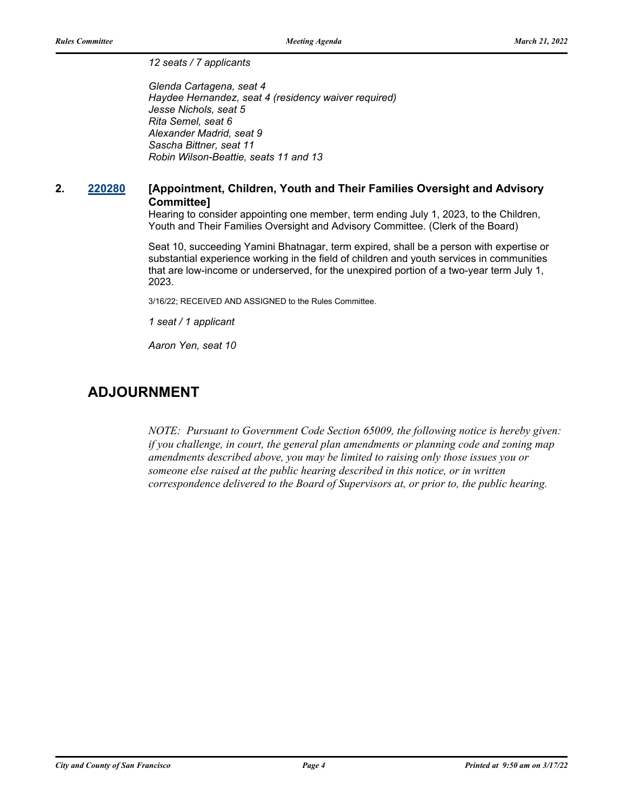*12 seats / 7 applicants*

*Glenda Cartagena, seat 4 Haydee Hernandez, seat 4 (residency waiver required) Jesse Nichols, seat 5 Rita Semel, seat 6 Alexander Madrid, seat 9 Sascha Bittner, seat 11 Robin Wilson-Beattie, seats 11 and 13*

## **2. [220280](http://sfgov.legistar.com/gateway.aspx?m=l&id=38472) [Appointment, Children, Youth and Their Families Oversight and Advisory Committee]**

Hearing to consider appointing one member, term ending July 1, 2023, to the Children, Youth and Their Families Oversight and Advisory Committee. (Clerk of the Board)

Seat 10, succeeding Yamini Bhatnagar, term expired, shall be a person with expertise or substantial experience working in the field of children and youth services in communities that are low-income or underserved, for the unexpired portion of a two-year term July 1, 2023.

3/16/22; RECEIVED AND ASSIGNED to the Rules Committee.

*1 seat / 1 applicant*

*Aaron Yen, seat 10*

## **ADJOURNMENT**

*NOTE: Pursuant to Government Code Section 65009, the following notice is hereby given: if you challenge, in court, the general plan amendments or planning code and zoning map amendments described above, you may be limited to raising only those issues you or someone else raised at the public hearing described in this notice, or in written correspondence delivered to the Board of Supervisors at, or prior to, the public hearing.*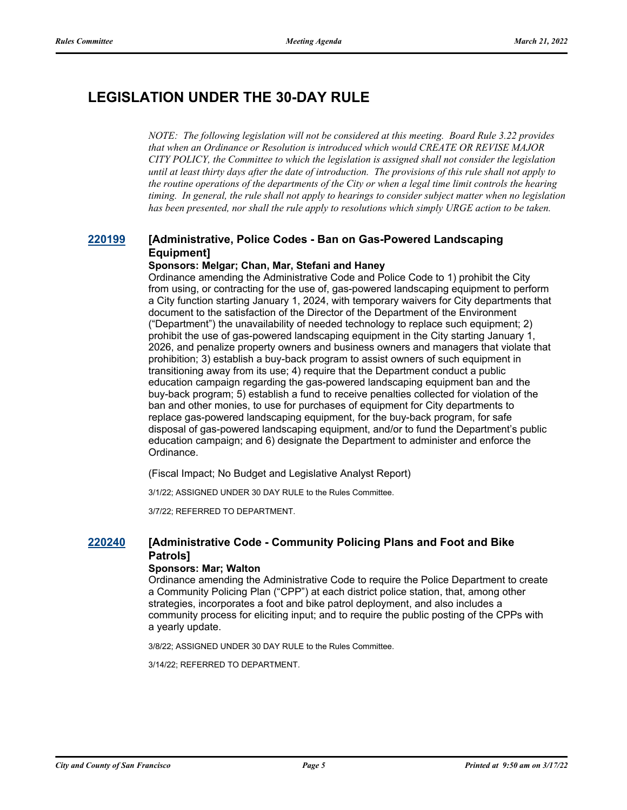# **LEGISLATION UNDER THE 30-DAY RULE**

*NOTE: The following legislation will not be considered at this meeting. Board Rule 3.22 provides that when an Ordinance or Resolution is introduced which would CREATE OR REVISE MAJOR CITY POLICY, the Committee to which the legislation is assigned shall not consider the legislation until at least thirty days after the date of introduction. The provisions of this rule shall not apply to the routine operations of the departments of the City or when a legal time limit controls the hearing timing. In general, the rule shall not apply to hearings to consider subject matter when no legislation has been presented, nor shall the rule apply to resolutions which simply URGE action to be taken.*

## **[220199](http://sfgov.legistar.com/gateway.aspx?m=l&id=38394) [Administrative, Police Codes - Ban on Gas-Powered Landscaping Equipment]**

### **Sponsors: Melgar; Chan, Mar, Stefani and Haney**

Ordinance amending the Administrative Code and Police Code to 1) prohibit the City from using, or contracting for the use of, gas-powered landscaping equipment to perform a City function starting January 1, 2024, with temporary waivers for City departments that document to the satisfaction of the Director of the Department of the Environment ("Department") the unavailability of needed technology to replace such equipment; 2) prohibit the use of gas-powered landscaping equipment in the City starting January 1, 2026, and penalize property owners and business owners and managers that violate that prohibition; 3) establish a buy-back program to assist owners of such equipment in transitioning away from its use; 4) require that the Department conduct a public education campaign regarding the gas-powered landscaping equipment ban and the buy-back program; 5) establish a fund to receive penalties collected for violation of the ban and other monies, to use for purchases of equipment for City departments to replace gas-powered landscaping equipment, for the buy-back program, for safe disposal of gas-powered landscaping equipment, and/or to fund the Department's public education campaign; and 6) designate the Department to administer and enforce the Ordinance.

(Fiscal Impact; No Budget and Legislative Analyst Report)

3/1/22; ASSIGNED UNDER 30 DAY RULE to the Rules Committee.

3/7/22; REFERRED TO DEPARTMENT.

### **[220240](http://sfgov.legistar.com/gateway.aspx?m=l&id=38432) [Administrative Code - Community Policing Plans and Foot and Bike Patrols]**

#### **Sponsors: Mar; Walton**

Ordinance amending the Administrative Code to require the Police Department to create a Community Policing Plan ("CPP") at each district police station, that, among other strategies, incorporates a foot and bike patrol deployment, and also includes a community process for eliciting input; and to require the public posting of the CPPs with a yearly update.

3/8/22; ASSIGNED UNDER 30 DAY RULE to the Rules Committee.

3/14/22; REFERRED TO DEPARTMENT.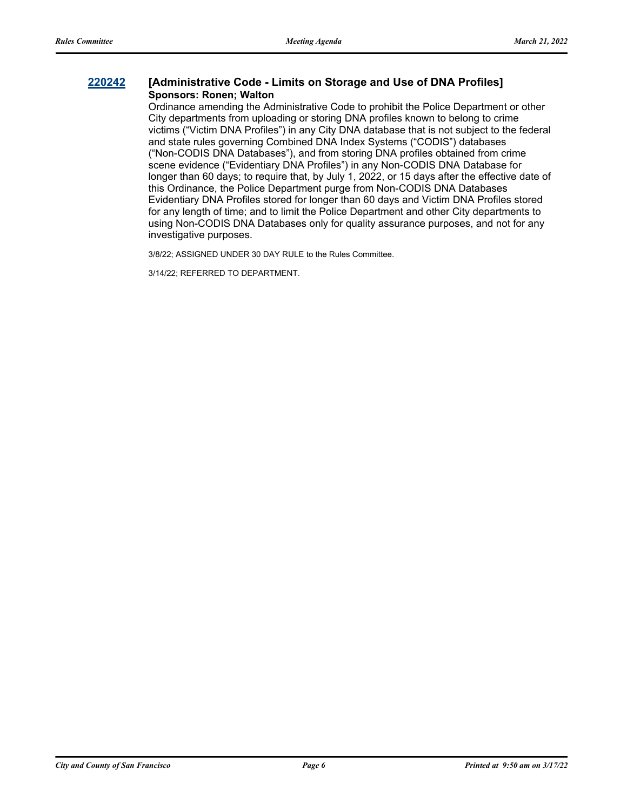### **[220242](http://sfgov.legistar.com/gateway.aspx?m=l&id=38434) [Administrative Code - Limits on Storage and Use of DNA Profiles] Sponsors: Ronen; Walton**

Ordinance amending the Administrative Code to prohibit the Police Department or other City departments from uploading or storing DNA profiles known to belong to crime victims ("Victim DNA Profiles") in any City DNA database that is not subject to the federal and state rules governing Combined DNA Index Systems ("CODIS") databases ("Non-CODIS DNA Databases"), and from storing DNA profiles obtained from crime scene evidence ("Evidentiary DNA Profiles") in any Non-CODIS DNA Database for longer than 60 days; to require that, by July 1, 2022, or 15 days after the effective date of this Ordinance, the Police Department purge from Non-CODIS DNA Databases Evidentiary DNA Profiles stored for longer than 60 days and Victim DNA Profiles stored for any length of time; and to limit the Police Department and other City departments to using Non-CODIS DNA Databases only for quality assurance purposes, and not for any investigative purposes.

3/8/22; ASSIGNED UNDER 30 DAY RULE to the Rules Committee.

3/14/22; REFERRED TO DEPARTMENT.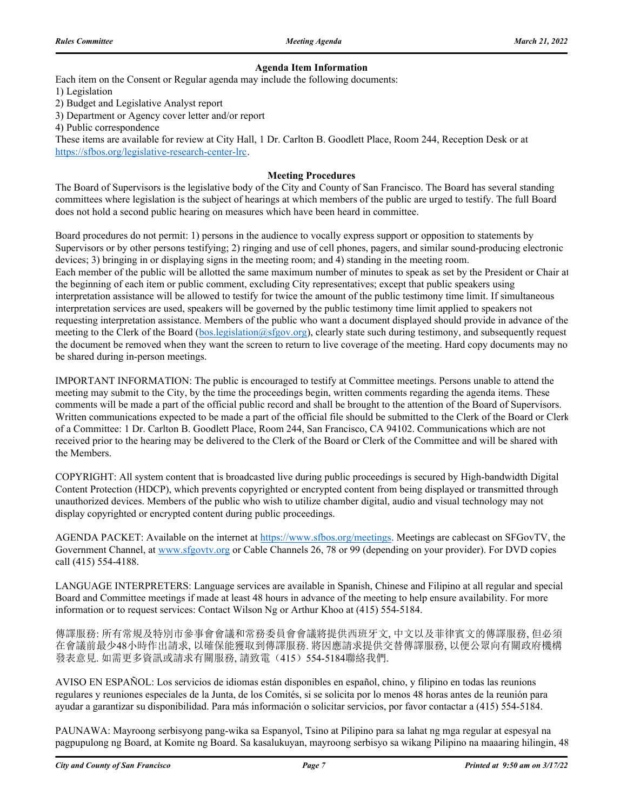### **Agenda Item Information**

Each item on the Consent or Regular agenda may include the following documents:

1) Legislation

2) Budget and Legislative Analyst report

3) Department or Agency cover letter and/or report

4) Public correspondence

These items are available for review at City Hall, 1 Dr. Carlton B. Goodlett Place, Room 244, Reception Desk or at https://sfbos.org/legislative-research-center-lrc.

#### **Meeting Procedures**

The Board of Supervisors is the legislative body of the City and County of San Francisco. The Board has several standing committees where legislation is the subject of hearings at which members of the public are urged to testify. The full Board does not hold a second public hearing on measures which have been heard in committee.

Board procedures do not permit: 1) persons in the audience to vocally express support or opposition to statements by Supervisors or by other persons testifying; 2) ringing and use of cell phones, pagers, and similar sound-producing electronic devices; 3) bringing in or displaying signs in the meeting room; and 4) standing in the meeting room. Each member of the public will be allotted the same maximum number of minutes to speak as set by the President or Chair at the beginning of each item or public comment, excluding City representatives; except that public speakers using interpretation assistance will be allowed to testify for twice the amount of the public testimony time limit. If simultaneous interpretation services are used, speakers will be governed by the public testimony time limit applied to speakers not requesting interpretation assistance. Members of the public who want a document displayed should provide in advance of the meeting to the Clerk of the Board (bos.legislation@sfgov.org), clearly state such during testimony, and subsequently request the document be removed when they want the screen to return to live coverage of the meeting. Hard copy documents may no be shared during in-person meetings.

IMPORTANT INFORMATION: The public is encouraged to testify at Committee meetings. Persons unable to attend the meeting may submit to the City, by the time the proceedings begin, written comments regarding the agenda items. These comments will be made a part of the official public record and shall be brought to the attention of the Board of Supervisors. Written communications expected to be made a part of the official file should be submitted to the Clerk of the Board or Clerk of a Committee: 1 Dr. Carlton B. Goodlett Place, Room 244, San Francisco, CA 94102. Communications which are not received prior to the hearing may be delivered to the Clerk of the Board or Clerk of the Committee and will be shared with the Members.

COPYRIGHT: All system content that is broadcasted live during public proceedings is secured by High-bandwidth Digital Content Protection (HDCP), which prevents copyrighted or encrypted content from being displayed or transmitted through unauthorized devices. Members of the public who wish to utilize chamber digital, audio and visual technology may not display copyrighted or encrypted content during public proceedings.

AGENDA PACKET: Available on the internet at https://www.sfbos.org/meetings. Meetings are cablecast on SFGovTV, the Government Channel, at www.sfgovtv.org or Cable Channels 26, 78 or 99 (depending on your provider). For DVD copies call (415) 554-4188.

LANGUAGE INTERPRETERS: Language services are available in Spanish, Chinese and Filipino at all regular and special Board and Committee meetings if made at least 48 hours in advance of the meeting to help ensure availability. For more information or to request services: Contact Wilson Ng or Arthur Khoo at (415) 554-5184.

傳譯服務: 所有常規及特別市參事會會議和常務委員會會議將提供西班牙文, 中文以及菲律賓文的傳譯服務, 但必須 在會議前最少48小時作出請求, 以確保能獲取到傳譯服務. 將因應請求提供交替傳譯服務, 以便公眾向有關政府機構 發表意見. 如需更多資訊或請求有關服務, 請致電(415)554-5184聯絡我們.

AVISO EN ESPAÑOL: Los servicios de idiomas están disponibles en español, chino, y filipino en todas las reunions regulares y reuniones especiales de la Junta, de los Comités, si se solicita por lo menos 48 horas antes de la reunión para ayudar a garantizar su disponibilidad. Para más información o solicitar servicios, por favor contactar a (415) 554-5184.

PAUNAWA: Mayroong serbisyong pang-wika sa Espanyol, Tsino at Pilipino para sa lahat ng mga regular at espesyal na pagpupulong ng Board, at Komite ng Board. Sa kasalukuyan, mayroong serbisyo sa wikang Pilipino na maaaring hilingin, 48